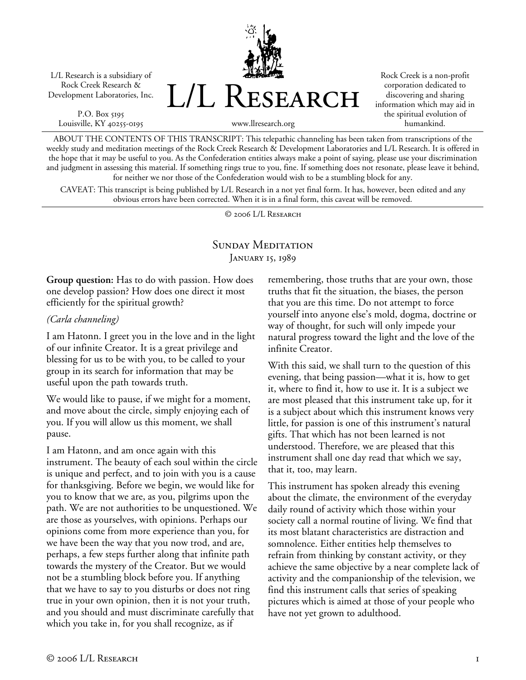L/L Research is a subsidiary of Rock Creek Research & Development Laboratories, Inc.

P.O. Box 5195 Louisville, KY 40255-0195



Rock Creek is a non-profit corporation dedicated to discovering and sharing information which may aid in the spiritual evolution of humankind.

www.llresearch.org

ABOUT THE CONTENTS OF THIS TRANSCRIPT: This telepathic channeling has been taken from transcriptions of the weekly study and meditation meetings of the Rock Creek Research & Development Laboratories and L/L Research. It is offered in the hope that it may be useful to you. As the Confederation entities always make a point of saying, please use your discrimination and judgment in assessing this material. If something rings true to you, fine. If something does not resonate, please leave it behind, for neither we nor those of the Confederation would wish to be a stumbling block for any.

CAVEAT: This transcript is being published by L/L Research in a not yet final form. It has, however, been edited and any obvious errors have been corrected. When it is in a final form, this caveat will be removed.

© 2006 L/L Research

## SUNDAY MEDITATION JANUARY 15, 1989

**Group question:** Has to do with passion. How does one develop passion? How does one direct it most efficiently for the spiritual growth?

#### *(Carla channeling)*

I am Hatonn. I greet you in the love and in the light of our infinite Creator. It is a great privilege and blessing for us to be with you, to be called to your group in its search for information that may be useful upon the path towards truth.

We would like to pause, if we might for a moment, and move about the circle, simply enjoying each of you. If you will allow us this moment, we shall pause.

I am Hatonn, and am once again with this instrument. The beauty of each soul within the circle is unique and perfect, and to join with you is a cause for thanksgiving. Before we begin, we would like for you to know that we are, as you, pilgrims upon the path. We are not authorities to be unquestioned. We are those as yourselves, with opinions. Perhaps our opinions come from more experience than you, for we have been the way that you now trod, and are, perhaps, a few steps further along that infinite path towards the mystery of the Creator. But we would not be a stumbling block before you. If anything that we have to say to you disturbs or does not ring true in your own opinion, then it is not your truth, and you should and must discriminate carefully that which you take in, for you shall recognize, as if

remembering, those truths that are your own, those truths that fit the situation, the biases, the person that you are this time. Do not attempt to force yourself into anyone else's mold, dogma, doctrine or way of thought, for such will only impede your natural progress toward the light and the love of the infinite Creator.

With this said, we shall turn to the question of this evening, that being passion—what it is, how to get it, where to find it, how to use it. It is a subject we are most pleased that this instrument take up, for it is a subject about which this instrument knows very little, for passion is one of this instrument's natural gifts. That which has not been learned is not understood. Therefore, we are pleased that this instrument shall one day read that which we say, that it, too, may learn.

This instrument has spoken already this evening about the climate, the environment of the everyday daily round of activity which those within your society call a normal routine of living. We find that its most blatant characteristics are distraction and somnolence. Either entities help themselves to refrain from thinking by constant activity, or they achieve the same objective by a near complete lack of activity and the companionship of the television, we find this instrument calls that series of speaking pictures which is aimed at those of your people who have not yet grown to adulthood.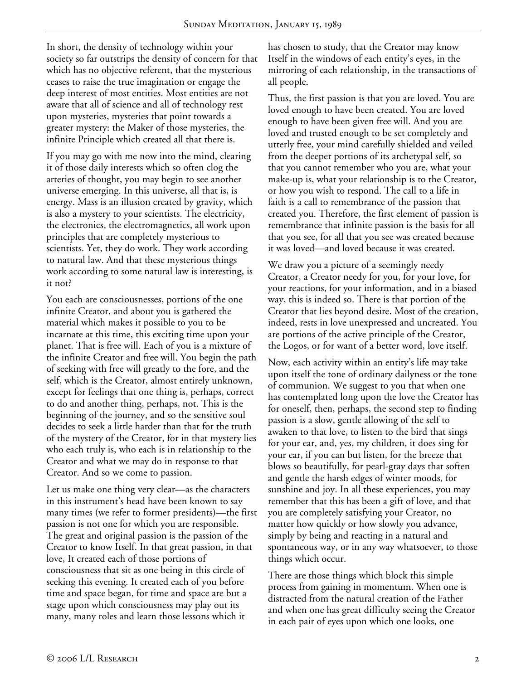In short, the density of technology within your society so far outstrips the density of concern for that which has no objective referent, that the mysterious ceases to raise the true imagination or engage the deep interest of most entities. Most entities are not aware that all of science and all of technology rest upon mysteries, mysteries that point towards a greater mystery: the Maker of those mysteries, the infinite Principle which created all that there is.

If you may go with me now into the mind, clearing it of those daily interests which so often clog the arteries of thought, you may begin to see another universe emerging. In this universe, all that is, is energy. Mass is an illusion created by gravity, which is also a mystery to your scientists. The electricity, the electronics, the electromagnetics, all work upon principles that are completely mysterious to scientists. Yet, they do work. They work according to natural law. And that these mysterious things work according to some natural law is interesting, is it not?

You each are consciousnesses, portions of the one infinite Creator, and about you is gathered the material which makes it possible to you to be incarnate at this time, this exciting time upon your planet. That is free will. Each of you is a mixture of the infinite Creator and free will. You begin the path of seeking with free will greatly to the fore, and the self, which is the Creator, almost entirely unknown, except for feelings that one thing is, perhaps, correct to do and another thing, perhaps, not. This is the beginning of the journey, and so the sensitive soul decides to seek a little harder than that for the truth of the mystery of the Creator, for in that mystery lies who each truly is, who each is in relationship to the Creator and what we may do in response to that Creator. And so we come to passion.

Let us make one thing very clear—as the characters in this instrument's head have been known to say many times (we refer to former presidents)—the first passion is not one for which you are responsible. The great and original passion is the passion of the Creator to know Itself. In that great passion, in that love, It created each of those portions of consciousness that sit as one being in this circle of seeking this evening. It created each of you before time and space began, for time and space are but a stage upon which consciousness may play out its many, many roles and learn those lessons which it

has chosen to study, that the Creator may know Itself in the windows of each entity's eyes, in the mirroring of each relationship, in the transactions of all people.

Thus, the first passion is that you are loved. You are loved enough to have been created. You are loved enough to have been given free will. And you are loved and trusted enough to be set completely and utterly free, your mind carefully shielded and veiled from the deeper portions of its archetypal self, so that you cannot remember who you are, what your make-up is, what your relationship is to the Creator, or how you wish to respond. The call to a life in faith is a call to remembrance of the passion that created you. Therefore, the first element of passion is remembrance that infinite passion is the basis for all that you see, for all that you see was created because it was loved—and loved because it was created.

We draw you a picture of a seemingly needy Creator, a Creator needy for you, for your love, for your reactions, for your information, and in a biased way, this is indeed so. There is that portion of the Creator that lies beyond desire. Most of the creation, indeed, rests in love unexpressed and uncreated. You are portions of the active principle of the Creator, the Logos, or for want of a better word, love itself.

Now, each activity within an entity's life may take upon itself the tone of ordinary dailyness or the tone of communion. We suggest to you that when one has contemplated long upon the love the Creator has for oneself, then, perhaps, the second step to finding passion is a slow, gentle allowing of the self to awaken to that love, to listen to the bird that sings for your ear, and, yes, my children, it does sing for your ear, if you can but listen, for the breeze that blows so beautifully, for pearl-gray days that soften and gentle the harsh edges of winter moods, for sunshine and joy. In all these experiences, you may remember that this has been a gift of love, and that you are completely satisfying your Creator, no matter how quickly or how slowly you advance, simply by being and reacting in a natural and spontaneous way, or in any way whatsoever, to those things which occur.

There are those things which block this simple process from gaining in momentum. When one is distracted from the natural creation of the Father and when one has great difficulty seeing the Creator in each pair of eyes upon which one looks, one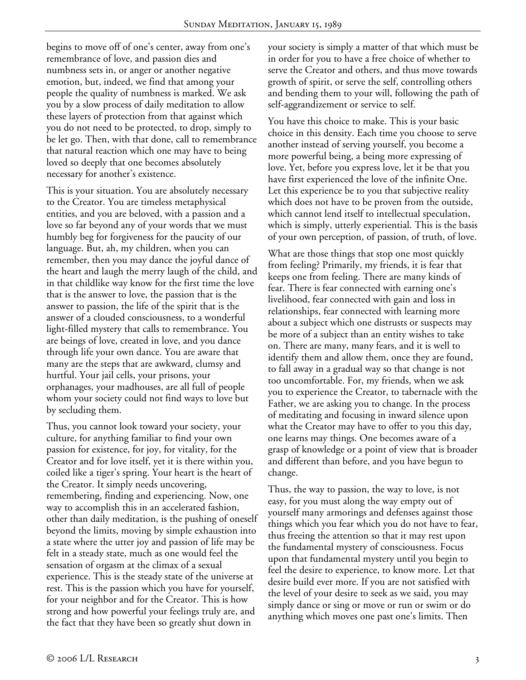begins to move off of one's center, away from one's remembrance of love, and passion dies and numbness sets in, or anger or another negative emotion, but, indeed, we find that among your people the quality of numbness is marked. We ask you by a slow process of daily meditation to allow these layers of protection from that against which you do not need to be protected, to drop, simply to be let go. Then, with that done, call to remembrance that natural reaction which one may have to being loved so deeply that one becomes absolutely necessary for another's existence.

This is your situation. You are absolutely necessary to the Creator. You are timeless metaphysical entities, and you are beloved, with a passion and a love so far beyond any of your words that we must humbly beg for forgiveness for the paucity of our language. But, ah, my children, when you can remember, then you may dance the joyful dance of the heart and laugh the merry laugh of the child, and in that childlike way know for the first time the love that is the answer to love, the passion that is the answer to passion, the life of the spirit that is the answer of a clouded consciousness, to a wonderful light-filled mystery that calls to remembrance. You are beings of love, created in love, and you dance through life your own dance. You are aware that many are the steps that are awkward, clumsy and hurtful. Your jail cells, your prisons, your orphanages, your madhouses, are all full of people whom your society could not find ways to love but by secluding them.

Thus, you cannot look toward your society, your culture, for anything familiar to find your own passion for existence, for joy, for vitality, for the Creator and for love itself, yet it is there within you, coiled like a tiger's spring. Your heart is the heart of the Creator. It simply needs uncovering, remembering, finding and experiencing. Now, one way to accomplish this in an accelerated fashion, other than daily meditation, is the pushing of oneself beyond the limits, moving by simple exhaustion into a state where the utter joy and passion of life may be felt in a steady state, much as one would feel the sensation of orgasm at the climax of a sexual experience. This is the steady state of the universe at rest. This is the passion which you have for yourself, for your neighbor and for the Creator. This is how strong and how powerful your feelings truly are, and the fact that they have been so greatly shut down in

your society is simply a matter of that which must be in order for you to have a free choice of whether to serve the Creator and others, and thus move towards growth of spirit, or serve the self, controlling others and bending them to your will, following the path of self-aggrandizement or service to self.

You have this choice to make. This is your basic choice in this density. Each time you choose to serve another instead of serving yourself, you become a more powerful being, a being more expressing of love. Yet, before you express love, let it be that you have first experienced the love of the infinite One. Let this experience be to you that subjective reality which does not have to be proven from the outside, which cannot lend itself to intellectual speculation, which is simply, utterly experiential. This is the basis of your own perception, of passion, of truth, of love.

What are those things that stop one most quickly from feeling? Primarily, my friends, it is fear that keeps one from feeling. There are many kinds of fear. There is fear connected with earning one's livelihood, fear connected with gain and loss in relationships, fear connected with learning more about a subject which one distrusts or suspects may be more of a subject than an entity wishes to take on. There are many, many fears, and it is well to identify them and allow them, once they are found, to fall away in a gradual way so that change is not too uncomfortable. For, my friends, when we ask you to experience the Creator, to tabernacle with the Father, we are asking you to change. In the process of meditating and focusing in inward silence upon what the Creator may have to offer to you this day, one learns may things. One becomes aware of a grasp of knowledge or a point of view that is broader and different than before, and you have begun to change.

Thus, the way to passion, the way to love, is not easy, for you must along the way empty out of yourself many armorings and defenses against those things which you fear which you do not have to fear, thus freeing the attention so that it may rest upon the fundamental mystery of consciousness. Focus upon that fundamental mystery until you begin to feel the desire to experience, to know more. Let that desire build ever more. If you are not satisfied with the level of your desire to seek as we said, you may simply dance or sing or move or run or swim or do anything which moves one past one's limits. Then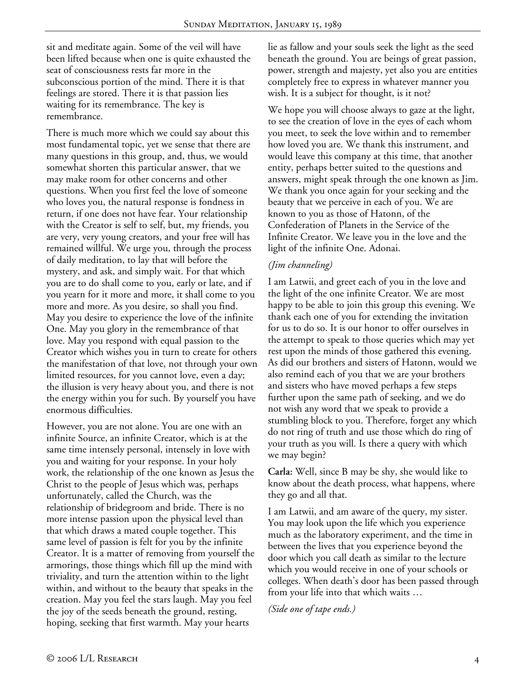sit and meditate again. Some of the veil will have been lifted because when one is quite exhausted the seat of consciousness rests far more in the subconscious portion of the mind. There it is that feelings are stored. There it is that passion lies waiting for its remembrance. The key is remembrance.

There is much more which we could say about this most fundamental topic, yet we sense that there are many questions in this group, and, thus, we would somewhat shorten this particular answer, that we may make room for other concerns and other questions. When you first feel the love of someone who loves you, the natural response is fondness in return, if one does not have fear. Your relationship with the Creator is self to self, but, my friends, you are very, very young creators, and your free will has remained willful. We urge you, through the process of daily meditation, to lay that will before the mystery, and ask, and simply wait. For that which you are to do shall come to you, early or late, and if you yearn for it more and more, it shall come to you more and more. As you desire, so shall you find. May you desire to experience the love of the infinite One. May you glory in the remembrance of that love. May you respond with equal passion to the Creator which wishes you in turn to create for others the manifestation of that love, not through your own limited resources, for you cannot love, even a day; the illusion is very heavy about you, and there is not the energy within you for such. By yourself you have enormous difficulties.

However, you are not alone. You are one with an infinite Source, an infinite Creator, which is at the same time intensely personal, intensely in love with you and waiting for your response. In your holy work, the relationship of the one known as Jesus the Christ to the people of Jesus which was, perhaps unfortunately, called the Church, was the relationship of bridegroom and bride. There is no more intense passion upon the physical level than that which draws a mated couple together. This same level of passion is felt for you by the infinite Creator. It is a matter of removing from yourself the armorings, those things which fill up the mind with triviality, and turn the attention within to the light within, and without to the beauty that speaks in the creation. May you feel the stars laugh. May you feel the joy of the seeds beneath the ground, resting, hoping, seeking that first warmth. May your hearts

lie as fallow and your souls seek the light as the seed beneath the ground. You are beings of great passion, power, strength and majesty, yet also you are entities completely free to express in whatever manner you wish. It is a subject for thought, is it not?

We hope you will choose always to gaze at the light, to see the creation of love in the eyes of each whom you meet, to seek the love within and to remember how loved you are. We thank this instrument, and would leave this company at this time, that another entity, perhaps better suited to the questions and answers, might speak through the one known as Jim. We thank you once again for your seeking and the beauty that we perceive in each of you. We are known to you as those of Hatonn, of the Confederation of Planets in the Service of the Infinite Creator. We leave you in the love and the light of the infinite One. Adonai.

### *(Jim channeling)*

I am Latwii, and greet each of you in the love and the light of the one infinite Creator. We are most happy to be able to join this group this evening. We thank each one of you for extending the invitation for us to do so. It is our honor to offer ourselves in the attempt to speak to those queries which may yet rest upon the minds of those gathered this evening. As did our brothers and sisters of Hatonn, would we also remind each of you that we are your brothers and sisters who have moved perhaps a few steps further upon the same path of seeking, and we do not wish any word that we speak to provide a stumbling block to you. Therefore, forget any which do not ring of truth and use those which do ring of your truth as you will. Is there a query with which we may begin?

**Carla:** Well, since B may be shy, she would like to know about the death process, what happens, where they go and all that.

I am Latwii, and am aware of the query, my sister. You may look upon the life which you experience much as the laboratory experiment, and the time in between the lives that you experience beyond the door which you call death as similar to the lecture which you would receive in one of your schools or colleges. When death's door has been passed through from your life into that which waits …

*(Side one of tape ends.)*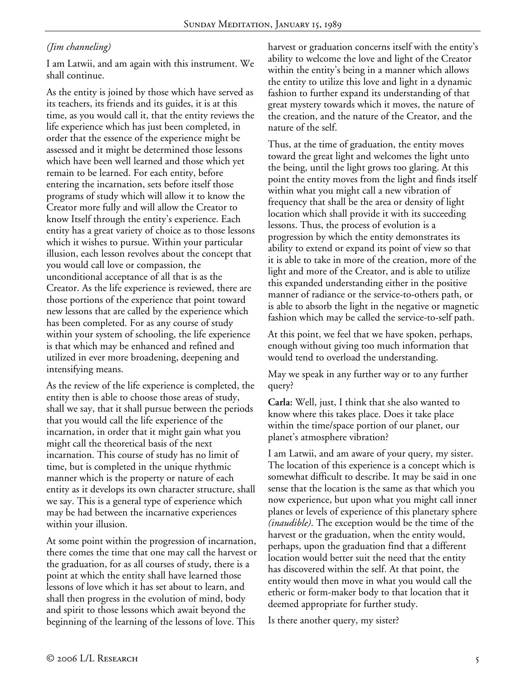# *(Jim channeling)*

I am Latwii, and am again with this instrument. We shall continue.

As the entity is joined by those which have served as its teachers, its friends and its guides, it is at this time, as you would call it, that the entity reviews the life experience which has just been completed, in order that the essence of the experience might be assessed and it might be determined those lessons which have been well learned and those which yet remain to be learned. For each entity, before entering the incarnation, sets before itself those programs of study which will allow it to know the Creator more fully and will allow the Creator to know Itself through the entity's experience. Each entity has a great variety of choice as to those lessons which it wishes to pursue. Within your particular illusion, each lesson revolves about the concept that you would call love or compassion, the unconditional acceptance of all that is as the Creator. As the life experience is reviewed, there are those portions of the experience that point toward new lessons that are called by the experience which has been completed. For as any course of study within your system of schooling, the life experience is that which may be enhanced and refined and utilized in ever more broadening, deepening and intensifying means.

As the review of the life experience is completed, the entity then is able to choose those areas of study, shall we say, that it shall pursue between the periods that you would call the life experience of the incarnation, in order that it might gain what you might call the theoretical basis of the next incarnation. This course of study has no limit of time, but is completed in the unique rhythmic manner which is the property or nature of each entity as it develops its own character structure, shall we say. This is a general type of experience which may be had between the incarnative experiences within your illusion.

At some point within the progression of incarnation, there comes the time that one may call the harvest or the graduation, for as all courses of study, there is a point at which the entity shall have learned those lessons of love which it has set about to learn, and shall then progress in the evolution of mind, body and spirit to those lessons which await beyond the beginning of the learning of the lessons of love. This

harvest or graduation concerns itself with the entity's ability to welcome the love and light of the Creator within the entity's being in a manner which allows the entity to utilize this love and light in a dynamic fashion to further expand its understanding of that great mystery towards which it moves, the nature of the creation, and the nature of the Creator, and the nature of the self.

Thus, at the time of graduation, the entity moves toward the great light and welcomes the light unto the being, until the light grows too glaring. At this point the entity moves from the light and finds itself within what you might call a new vibration of frequency that shall be the area or density of light location which shall provide it with its succeeding lessons. Thus, the process of evolution is a progression by which the entity demonstrates its ability to extend or expand its point of view so that it is able to take in more of the creation, more of the light and more of the Creator, and is able to utilize this expanded understanding either in the positive manner of radiance or the service-to-others path, or is able to absorb the light in the negative or magnetic fashion which may be called the service-to-self path.

At this point, we feel that we have spoken, perhaps, enough without giving too much information that would tend to overload the understanding.

May we speak in any further way or to any further query?

**Carla:** Well, just, I think that she also wanted to know where this takes place. Does it take place within the time/space portion of our planet, our planet's atmosphere vibration?

I am Latwii, and am aware of your query, my sister. The location of this experience is a concept which is somewhat difficult to describe. It may be said in one sense that the location is the same as that which you now experience, but upon what you might call inner planes or levels of experience of this planetary sphere *(inaudible)*. The exception would be the time of the harvest or the graduation, when the entity would, perhaps, upon the graduation find that a different location would better suit the need that the entity has discovered within the self. At that point, the entity would then move in what you would call the etheric or form-maker body to that location that it deemed appropriate for further study.

Is there another query, my sister?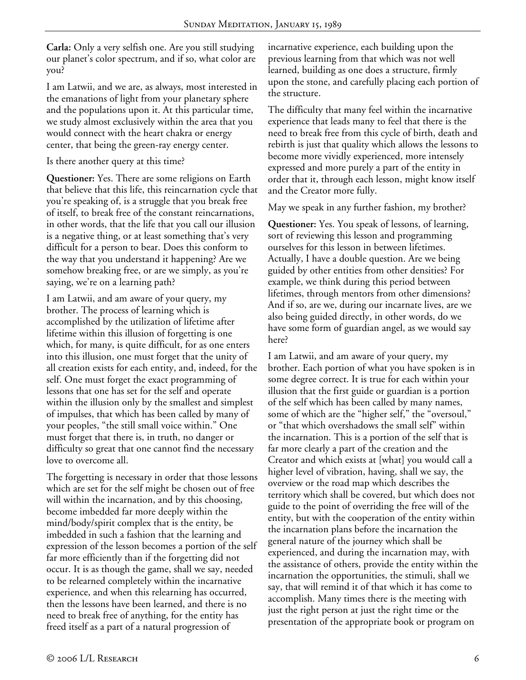**Carla:** Only a very selfish one. Are you still studying our planet's color spectrum, and if so, what color are you?

I am Latwii, and we are, as always, most interested in the emanations of light from your planetary sphere and the populations upon it. At this particular time, we study almost exclusively within the area that you would connect with the heart chakra or energy center, that being the green-ray energy center.

Is there another query at this time?

**Questioner:** Yes. There are some religions on Earth that believe that this life, this reincarnation cycle that you're speaking of, is a struggle that you break free of itself, to break free of the constant reincarnations, in other words, that the life that you call our illusion is a negative thing, or at least something that's very difficult for a person to bear. Does this conform to the way that you understand it happening? Are we somehow breaking free, or are we simply, as you're saying, we're on a learning path?

I am Latwii, and am aware of your query, my brother. The process of learning which is accomplished by the utilization of lifetime after lifetime within this illusion of forgetting is one which, for many, is quite difficult, for as one enters into this illusion, one must forget that the unity of all creation exists for each entity, and, indeed, for the self. One must forget the exact programming of lessons that one has set for the self and operate within the illusion only by the smallest and simplest of impulses, that which has been called by many of your peoples, "the still small voice within." One must forget that there is, in truth, no danger or difficulty so great that one cannot find the necessary love to overcome all.

The forgetting is necessary in order that those lessons which are set for the self might be chosen out of free will within the incarnation, and by this choosing, become imbedded far more deeply within the mind/body/spirit complex that is the entity, be imbedded in such a fashion that the learning and expression of the lesson becomes a portion of the self far more efficiently than if the forgetting did not occur. It is as though the game, shall we say, needed to be relearned completely within the incarnative experience, and when this relearning has occurred, then the lessons have been learned, and there is no need to break free of anything, for the entity has freed itself as a part of a natural progression of

incarnative experience, each building upon the previous learning from that which was not well learned, building as one does a structure, firmly upon the stone, and carefully placing each portion of the structure.

The difficulty that many feel within the incarnative experience that leads many to feel that there is the need to break free from this cycle of birth, death and rebirth is just that quality which allows the lessons to become more vividly experienced, more intensely expressed and more purely a part of the entity in order that it, through each lesson, might know itself and the Creator more fully.

May we speak in any further fashion, my brother?

**Questioner:** Yes. You speak of lessons, of learning, sort of reviewing this lesson and programming ourselves for this lesson in between lifetimes. Actually, I have a double question. Are we being guided by other entities from other densities? For example, we think during this period between lifetimes, through mentors from other dimensions? And if so, are we, during our incarnate lives, are we also being guided directly, in other words, do we have some form of guardian angel, as we would say here?

I am Latwii, and am aware of your query, my brother. Each portion of what you have spoken is in some degree correct. It is true for each within your illusion that the first guide or guardian is a portion of the self which has been called by many names, some of which are the "higher self," the "oversoul," or "that which overshadows the small self" within the incarnation. This is a portion of the self that is far more clearly a part of the creation and the Creator and which exists at [what] you would call a higher level of vibration, having, shall we say, the overview or the road map which describes the territory which shall be covered, but which does not guide to the point of overriding the free will of the entity, but with the cooperation of the entity within the incarnation plans before the incarnation the general nature of the journey which shall be experienced, and during the incarnation may, with the assistance of others, provide the entity within the incarnation the opportunities, the stimuli, shall we say, that will remind it of that which it has come to accomplish. Many times there is the meeting with just the right person at just the right time or the presentation of the appropriate book or program on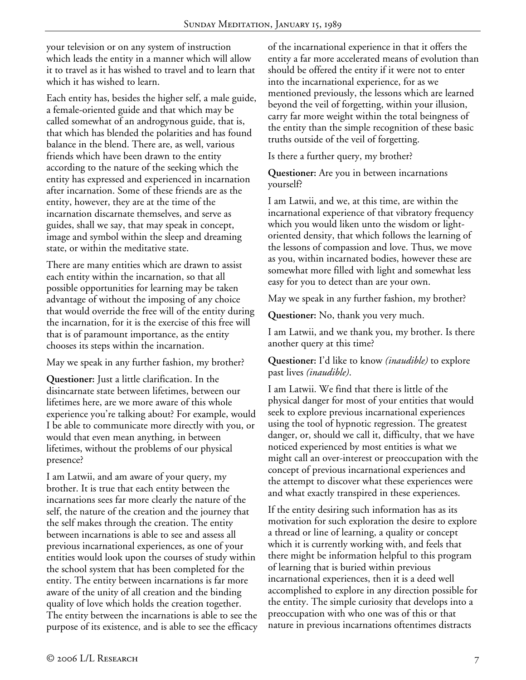your television or on any system of instruction which leads the entity in a manner which will allow it to travel as it has wished to travel and to learn that which it has wished to learn.

Each entity has, besides the higher self, a male guide, a female-oriented guide and that which may be called somewhat of an androgynous guide, that is, that which has blended the polarities and has found balance in the blend. There are, as well, various friends which have been drawn to the entity according to the nature of the seeking which the entity has expressed and experienced in incarnation after incarnation. Some of these friends are as the entity, however, they are at the time of the incarnation discarnate themselves, and serve as guides, shall we say, that may speak in concept, image and symbol within the sleep and dreaming state, or within the meditative state.

There are many entities which are drawn to assist each entity within the incarnation, so that all possible opportunities for learning may be taken advantage of without the imposing of any choice that would override the free will of the entity during the incarnation, for it is the exercise of this free will that is of paramount importance, as the entity chooses its steps within the incarnation.

May we speak in any further fashion, my brother?

**Questioner:** Just a little clarification. In the disincarnate state between lifetimes, between our lifetimes here, are we more aware of this whole experience you're talking about? For example, would I be able to communicate more directly with you, or would that even mean anything, in between lifetimes, without the problems of our physical presence?

I am Latwii, and am aware of your query, my brother. It is true that each entity between the incarnations sees far more clearly the nature of the self, the nature of the creation and the journey that the self makes through the creation. The entity between incarnations is able to see and assess all previous incarnational experiences, as one of your entities would look upon the courses of study within the school system that has been completed for the entity. The entity between incarnations is far more aware of the unity of all creation and the binding quality of love which holds the creation together. The entity between the incarnations is able to see the purpose of its existence, and is able to see the efficacy of the incarnational experience in that it offers the entity a far more accelerated means of evolution than should be offered the entity if it were not to enter into the incarnational experience, for as we mentioned previously, the lessons which are learned beyond the veil of forgetting, within your illusion, carry far more weight within the total beingness of the entity than the simple recognition of these basic truths outside of the veil of forgetting.

Is there a further query, my brother?

**Questioner:** Are you in between incarnations yourself?

I am Latwii, and we, at this time, are within the incarnational experience of that vibratory frequency which you would liken unto the wisdom or lightoriented density, that which follows the learning of the lessons of compassion and love. Thus, we move as you, within incarnated bodies, however these are somewhat more filled with light and somewhat less easy for you to detect than are your own.

May we speak in any further fashion, my brother?

**Questioner:** No, thank you very much.

I am Latwii, and we thank you, my brother. Is there another query at this time?

**Questioner:** I'd like to know *(inaudible)* to explore past lives *(inaudible)*.

I am Latwii. We find that there is little of the physical danger for most of your entities that would seek to explore previous incarnational experiences using the tool of hypnotic regression. The greatest danger, or, should we call it, difficulty, that we have noticed experienced by most entities is what we might call an over-interest or preoccupation with the concept of previous incarnational experiences and the attempt to discover what these experiences were and what exactly transpired in these experiences.

If the entity desiring such information has as its motivation for such exploration the desire to explore a thread or line of learning, a quality or concept which it is currently working with, and feels that there might be information helpful to this program of learning that is buried within previous incarnational experiences, then it is a deed well accomplished to explore in any direction possible for the entity. The simple curiosity that develops into a preoccupation with who one was of this or that nature in previous incarnations oftentimes distracts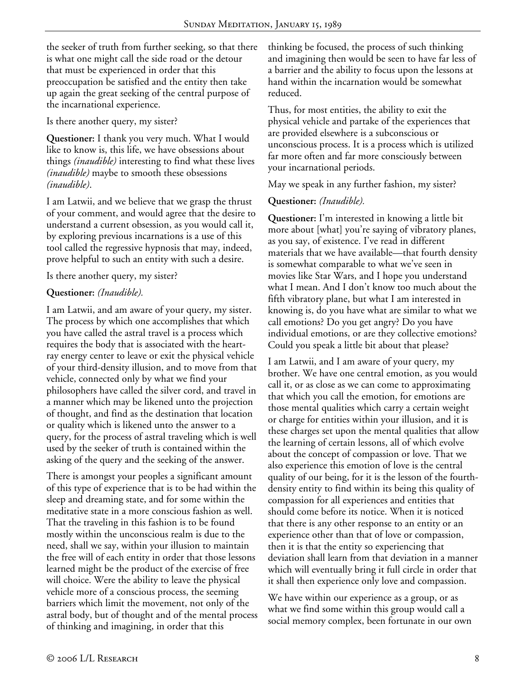the seeker of truth from further seeking, so that there is what one might call the side road or the detour that must be experienced in order that this preoccupation be satisfied and the entity then take up again the great seeking of the central purpose of the incarnational experience.

Is there another query, my sister?

**Questioner:** I thank you very much. What I would like to know is, this life, we have obsessions about things *(inaudible)* interesting to find what these lives *(inaudible)* maybe to smooth these obsessions *(inaudible)*.

I am Latwii, and we believe that we grasp the thrust of your comment, and would agree that the desire to understand a current obsession, as you would call it, by exploring previous incarnations is a use of this tool called the regressive hypnosis that may, indeed, prove helpful to such an entity with such a desire.

Is there another query, my sister?

# **Questioner:** *(Inaudible).*

I am Latwii, and am aware of your query, my sister. The process by which one accomplishes that which you have called the astral travel is a process which requires the body that is associated with the heartray energy center to leave or exit the physical vehicle of your third-density illusion, and to move from that vehicle, connected only by what we find your philosophers have called the silver cord, and travel in a manner which may be likened unto the projection of thought, and find as the destination that location or quality which is likened unto the answer to a query, for the process of astral traveling which is well used by the seeker of truth is contained within the asking of the query and the seeking of the answer.

There is amongst your peoples a significant amount of this type of experience that is to be had within the sleep and dreaming state, and for some within the meditative state in a more conscious fashion as well. That the traveling in this fashion is to be found mostly within the unconscious realm is due to the need, shall we say, within your illusion to maintain the free will of each entity in order that those lessons learned might be the product of the exercise of free will choice. Were the ability to leave the physical vehicle more of a conscious process, the seeming barriers which limit the movement, not only of the astral body, but of thought and of the mental process of thinking and imagining, in order that this

thinking be focused, the process of such thinking and imagining then would be seen to have far less of a barrier and the ability to focus upon the lessons at hand within the incarnation would be somewhat reduced.

Thus, for most entities, the ability to exit the physical vehicle and partake of the experiences that are provided elsewhere is a subconscious or unconscious process. It is a process which is utilized far more often and far more consciously between your incarnational periods.

May we speak in any further fashion, my sister?

### **Questioner:** *(Inaudible).*

**Questioner:** I'm interested in knowing a little bit more about [what] you're saying of vibratory planes, as you say, of existence. I've read in different materials that we have available—that fourth density is somewhat comparable to what we've seen in movies like Star Wars, and I hope you understand what I mean. And I don't know too much about the fifth vibratory plane, but what I am interested in knowing is, do you have what are similar to what we call emotions? Do you get angry? Do you have individual emotions, or are they collective emotions? Could you speak a little bit about that please?

I am Latwii, and I am aware of your query, my brother. We have one central emotion, as you would call it, or as close as we can come to approximating that which you call the emotion, for emotions are those mental qualities which carry a certain weight or charge for entities within your illusion, and it is these charges set upon the mental qualities that allow the learning of certain lessons, all of which evolve about the concept of compassion or love. That we also experience this emotion of love is the central quality of our being, for it is the lesson of the fourthdensity entity to find within its being this quality of compassion for all experiences and entities that should come before its notice. When it is noticed that there is any other response to an entity or an experience other than that of love or compassion, then it is that the entity so experiencing that deviation shall learn from that deviation in a manner which will eventually bring it full circle in order that it shall then experience only love and compassion.

We have within our experience as a group, or as what we find some within this group would call a social memory complex, been fortunate in our own